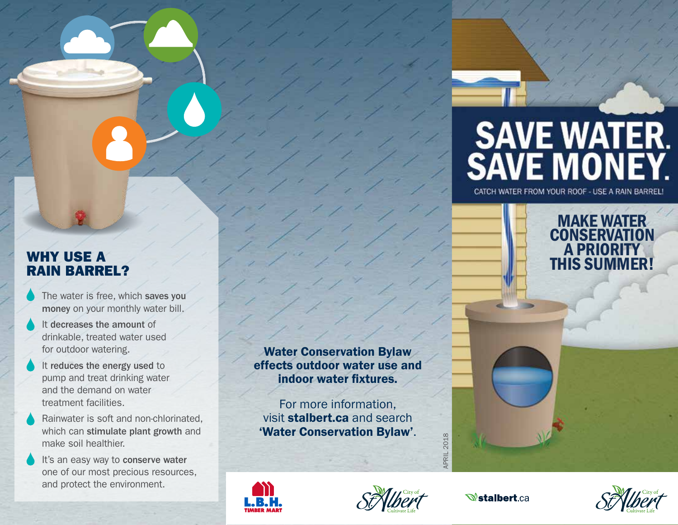# **SAVE WATER.<br>SAVE MONEY.**

CATCH WATER FROM YOUR ROOF - USE A RAIN BARREL!

MAKE WATER **CONSERVATION** A PRIORITY THIS SUMMER!

# WHY USE A RAIN BARREL?

- The water is free, which saves you money on your monthly water bill.
- It decreases the amount of drinkable, treated water used for outdoor watering.
- It reduces the energy used to pump and treat drinking water and the demand on water treatment facilities.
- Rainwater is soft and non-chlorinated, which can stimulate plant growth and make soil healthier.
- It's an easy way to conserve water one of our most precious resources, and protect the environment.

Water Conservation Bylaw effects outdoor water use and indoor water fixtures.

For more information, visit stalbert.ca and search 'Water Conservation Bylaw' .





APRIL 2018

APRIL 2018

**Wstalbert.ca**